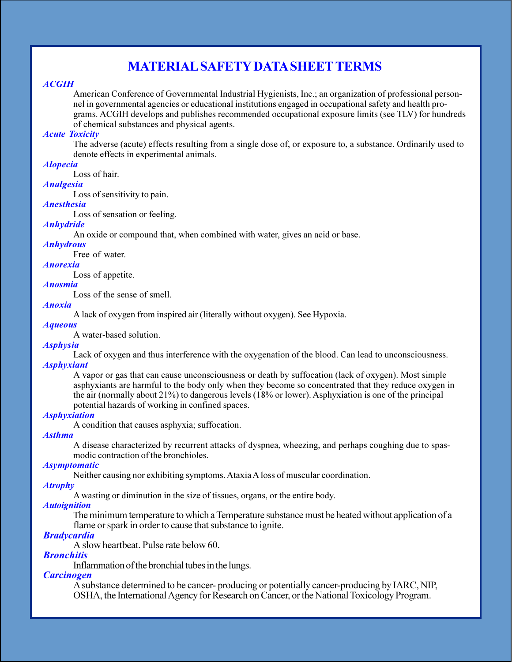# **MATERIAL SAFETY DATA SHEET TERMS**

### **ACGIH**

American Conference of Governmental Industrial Hygienists, Inc.; an organization of professional personnel in governmental agencies or educational institutions engaged in occupational safety and health programs. ACGIH develops and publishes recommended occupational exposure limits (see TLV) for hundreds of chemical substances and physical agents.

### **Acute Toxicity**

The adverse (acute) effects resulting from a single dose of, or exposure to, a substance. Ordinarily used to denote effects in experimental animals.

# **Alopecia**

Loss of hair.

# **Analgesia**

Loss of sensitivity to pain.

## **Anesthesia**

Loss of sensation or feeling.

# **Anhydride**

An oxide or compound that, when combined with water, gives an acid or base.

# **Anhydrous**

Free of water.

### **Anorexia**

Loss of appetite.

# **Anosmia**

Loss of the sense of smell.

### **Anoxia**

A lack of oxygen from inspired air (literally without oxygen). See Hypoxia.

# **Aqueous**

A water-based solution.

## **Asphysia**

Lack of oxygen and thus interference with the oxygenation of the blood. Can lead to unconsciousness. **Asphyxiant** 

A vapor or gas that can cause unconsciousness or death by suffocation (lack of oxygen). Most simple asphyxiants are harmful to the body only when they become so concentrated that they reduce oxygen in the air (normally about  $21\%$ ) to dangerous levels (18% or lower). Asphyxiation is one of the principal potential hazards of working in confined spaces.

### **Asphyxiation**

A condition that causes asphyxia; suffocation.

#### **Asthma**

A disease characterized by recurrent attacks of dyspnea, wheezing, and perhaps coughing due to spasmodic contraction of the bronchioles.

### **Asymptomatic**

Neither causing nor exhibiting symptoms. Ataxia A loss of muscular coordination.

### **Atrophy**

A wasting or diminution in the size of tissues, organs, or the entire body.

## **Autoignition**

The minimum temperature to which a Temperature substance must be heated without application of a flame or spark in order to cause that substance to ignite.

# **Bradycardia**

A slow heartheat. Pulse rate below 60.

### **Bronchitis**

Inflammation of the bronchial tubes in the lungs.

## **Carcinogen**

A substance determined to be cancer- producing or potentially cancer-producing by IARC, NIP, OSHA, the International Agency for Research on Cancer, or the National Toxicology Program.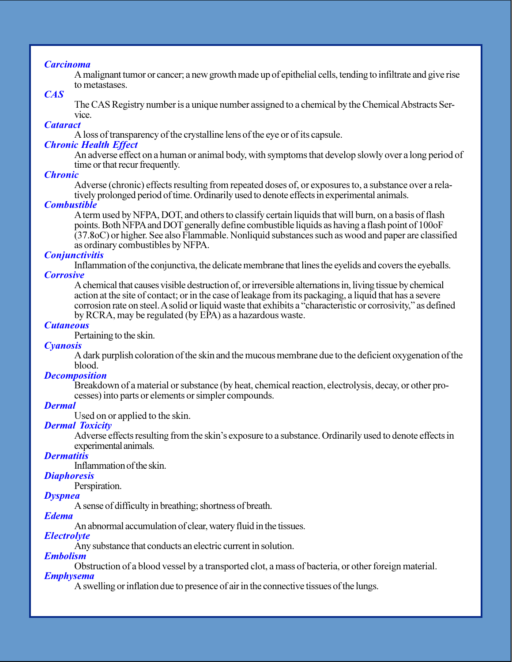# **Carcinoma**

A malignant tumor or cancer; a new growth made up of epithelial cells, tending to infiltrate and give rise to metastases.

# $CAS$

The CAS Registry number is a unique number assigned to a chemical by the Chemical Abstracts Service.

# **Cataract**

A loss of transparency of the crystalline lens of the eve or of its capsule.

# **Chronic Health Effect**

An adverse effect on a human or animal body, with symptoms that develop slowly over a long period of time or that recur frequently.

# **Chronic**

Adverse (chronic) effects resulting from repeated doses of, or exposures to, a substance over a relatively prolonged period of time. Ordinarily used to denote effects in experimental animals.

### **Combustible**

A term used by NFPA, DOT, and others to classify certain liquids that will burn, on a basis of flash points. Both NFPA and DOT generally define combustible liquids as having a flash point of 100 oF  $(37.8$ oC) or higher. See also Flammable. Nonliquid substances such as wood and paper are classified as ordinary combustibles by NFPA.

## **Conjunctivitis**

Inflammation of the conjunctiva, the delicate membrane that lines the eyelids and covers the eyeballs. **Corrosive** 

A chemical that causes visible destruction of, or irreversible alternations in, living tissue by chemical action at the site of contact; or in the case of leakage from its packaging, a liquid that has a severe corrosion rate on steel. A solid or liquid waste that exhibits a "characteristic or corrosivity," as defined by RCRA, may be regulated (by EPA) as a hazardous waste.

### **Cutaneous**

Pertaining to the skin.

### **Cyanosis**

A dark purplish coloration of the skin and the mucous membrane due to the deficient oxygenation of the blood.

### **Decomposition**

Breakdown of a material or substance (by heat, chemical reaction, electrolysis, decay, or other processes) into parts or elements or simpler compounds.

### **Dermal**

Used on or applied to the skin.

### **Dermal Toxicity**

Adverse effects resulting from the skin's exposure to a substance. Ordinarily used to denote effects in experimental animals.

# **Dermatitis**

Inflammation of the skin.

## **Diaphoresis**

Perspiration.

# **Dyspnea**

A sense of difficulty in breathing; shortness of breath.

#### **Edema**

An abnormal accumulation of clear, watery fluid in the tissues.

## **Electrolyte**

Any substance that conducts an electric current in solution.

## **Embolism**

Obstruction of a blood vessel by a transported clot, a mass of bacteria, or other foreign material.

### **Emphysema**

A swelling or inflation due to presence of air in the connective tissues of the lungs.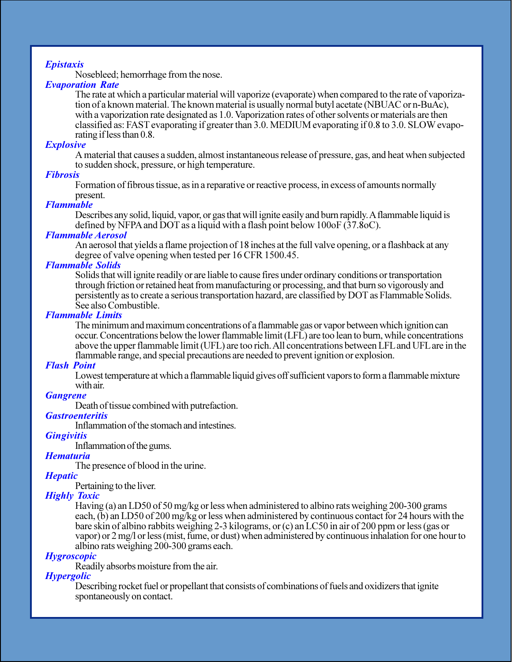# **Epistaxis**

Nosebleed; hemorrhage from the nose.

# **Evaporation Rate**

The rate at which a particular material will vaporize (evaporate) when compared to the rate of vaporization of a known material. The known material is usually normal butyl acetate (NBUAC or n-BuAc), with a vaporization rate designated as 1.0. Vaporization rates of other solvents or materials are then classified as: FAST evaporating if greater than 3.0. MEDIUM evaporating if 0.8 to 3.0. SLOW evaporating if less than 0.8.

### **Explosive**

A material that causes a sudden, almost instantaneous release of pressure, gas, and heat when subjected to sudden shock, pressure, or high temperature.

# **Fibrosis**

Formation of fibrous tissue, as in a reparative or reactive process, in excess of amounts normally present.

### **Flammable**

Describes any solid, liquid, vapor, or gas that will ignite easily and burn rapidly. A flammable liquid is defined by NFPA and DOT as a liquid with a flash point below  $100 \text{ of } (37.8 \text{ oC})$ .

## **Flammable Aerosol**

An aerosol that yields a flame projection of 18 inches at the full valve opening, or a flashback at any degree of valve opening when tested per 16 CFR 1500.45.

## **Flammable Solids**

Solids that will ignite readily or are liable to cause fires under ordinary conditions or transportation through friction or retained heat from manufacturing or processing, and that burn so vigorously and persistently as to create a serious transportation hazard, are classified by DOT as Flammable Solids. See also Combustible.

### **Flammable Limits**

The minimum and maximum concentrations of a flammable gas or vapor between which ignition can occur. Concentrations below the lower flammable limit (LFL) are too lean to burn, while concentrations above the upper flammable limit (UFL) are too rich. All concentrations between LFL and UFL are in the flammable range, and special precautions are needed to prevent ignition or explosion.

### **Flash Point**

Lowest temperature at which a flammable liquid gives off sufficient vapors to form a flammable mixture with air.

## **Gangrene**

Death of tissue combined with put refaction.

### **Gastroenteritis**

Inflammation of the stomach and intestines.

### **Gingivitis**

Inflammation of the gums.

# **Hematuria**

The presence of blood in the urine.

## **Hepatic**

Pertaining to the liver.

### **Highly Toxic**

Having (a) an LD50 of 50 mg/kg or less when administered to albino rats weighing 200-300 grams each. (b) an LD50 of 200 mg/kg or less when administered by continuous contact for 24 hours with the bare skin of albino rabbits weighing 2-3 kilograms, or (c) an LC50 in air of 200 ppm or less (gas or vapor) or 2 mg/l or less (mist, fume, or dust) when administered by continuous inhalation for one hour to albino rats weighing 200-300 grams each.

### **Hygroscopic**

Readily absorbs moisture from the air.

### **Hypergolic**

Describing rocket fuel or propellant that consists of combinations of fuels and oxidizers that ignite spontaneously on contact.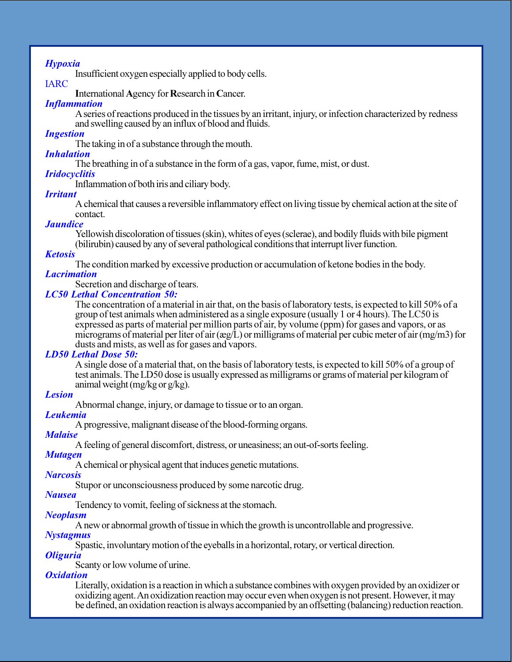# **Hypoxia**

Insufficient oxygen especially applied to body cells.

# **IARC**

International Agency for Research in Cancer.

# **Inflammation**

A series of reactions produced in the tissues by an irritant, injury, or infection characterized by redness and swelling caused by an influx of blood and fluids.

# **Ingestion**

The taking in of a substance through the mouth.

## **Inhalation**

The breathing in of a substance in the form of a gas, vapor, fume, mist, or dust.

# **Iridocyclitis**

Inflammation of both iris and ciliary body.

# **Irritant**

A chemical that causes a reversible inflammatory effect on living tissue by chemical action at the site of contact.

# **Jaundice**

Yellowish discoloration of tissues (skin), whites of eyes (sclerae), and bodily fluids with bile pigment (bilirubin) caused by any of several pathological conditions that interrupt liver function.

# **Ketosis**

The condition marked by excessive production or accumulation of ketone bodies in the body.

## **Lacrimation**

Secretion and discharge of tears.

# **LC50 Lethal Concentration 50:**

The concentration of a material in air that, on the basis of laboratory tests, is expected to kill 50% of a group of test animals when administered as a single exposure (usually 1 or 4 hours). The LC50 is expressed as parts of material per million parts of air, by volume (ppm) for gases and vapors, or as micrograms of material per liter of air ( $\exp(L)$  or milligrams of material per cubic meter of air (mg/m3) for dusts and mists, as well as for gases and vapors.

# **LD50 Lethal Dose 50:**

A single dose of a material that, on the basis of laboratory tests, is expected to kill 50% of a group of test animals. The LD50 dose is usually expressed as milligrams or grams of material per kilogram of animal weight ( $mg/kg$  or  $g/kg$ ).

# **Lesion**

Abnormal change, injury, or damage to tissue or to an organ.

## **Leukemia**

A progressive, malignant disease of the blood-forming organs.

## **Malaise**

A feeling of general discomfort, distress, or uneasiness; an out-of-sorts feeling.

## **Mutagen**

A chemical or physical agent that induces genetic mutations.

## **Narcosis**

Stupor or unconsciousness produced by some narcotic drug.

# **Nausea**

Tendency to vomit, feeling of sickness at the stomach.

## **Neoplasm**

A new or abnormal growth of tissue in which the growth is uncontrollable and progressive.

## **Nystagmus**

Spastic, involuntary motion of the eyeballs in a horizontal, rotary, or vertical direction.

## *Oliguria*

Scanty or low volume of urine.

## *Oxidation*

Literally, oxidation is a reaction in which a substance combines with oxygen provided by an oxidizer or oxidizing agent. An oxidization reaction may occur even when oxygen is not present. However, it may be defined, an oxidation reaction is always accompanied by an offsetting (balancing) reduction reaction.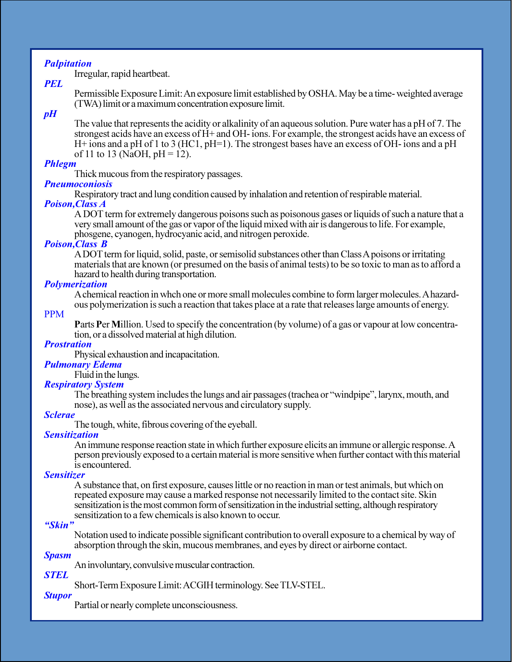# **Palpitation**

Irregular, rapid heartbeat.

# **PEL**

Permissible Exposure Limit: An exposure limit established by OSHA. May be a time-weighted average (TWA) limit or a maximum concentration exposure limit.

# $pH$

The value that represents the acidity or alkalinity of an aqueous solution. Pure water has a pH of 7. The strongest acids have an excess of H+ and OH- ions. For example, the strongest acids have an excess of H + ions and a pH of 1 to 3 (HC1, pH=1). The strongest bases have an excess of OH- ions and a pH of 11 to 13 (NaOH,  $pH = 12$ ).

# **Phlegm**

Thick mucous from the respiratory passages.

# **Pneumoconiosis**

Respiratory tract and lung condition caused by inhalation and retention of respirable material.

# **Poison, Class A**

A DOT term for extremely dangerous poisons such as poisonous gases or liquids of such a nature that a very small amount of the gas or vapor of the liquid mixed with air is dangerous to life. For example, phosgene, cyanogen, hydrocyanic acid, and nitrogen peroxide.

# **Poison, Class B**

A DOT term for liquid, solid, paste, or semisolid substances other than Class A poisons or irritating materials that are known (or presumed on the basis of animal tests) to be so toxic to man as to afford a hazard to health during transportation.

# **Polymerization**

A chemical reaction in whch one or more small molecules combine to form larger molecules. A hazardous polymerization is such a reaction that takes place at a rate that releases large amounts of energy.

# **PPM**

**Parts Per Million.** Used to specify the concentration (by volume) of a gas or vapour at low concentration, or a dissolved material at high dilution.

# **Prostration**

Physical exhaustion and incapacitation.

# **Pulmonary Edema**

Fluid in the lungs.

## **Respiratory System**

The breathing system includes the lungs and air passages (trachea or "windpipe", larynx, mouth, and nose), as well as the associated nervous and circulatory supply.

# **Sclerae**

The tough, white, fibrous covering of the eyeball.

## **Sensitization**

An immune response reaction state in which further exposure elicits an immune or allergic response. A person previously exposed to a certain material is more sensitive when further contact with this material is encountered.

## **Sensitizer**

A substance that, on first exposure, causes little or no reaction in man or test animals, but which on repeated exposure may cause a marked response not necessarily limited to the contact site. Skin sensitization is the most common form of sensitization in the industrial setting, although respiratory sensitization to a few chemicals is also known to occur.

# "Skin"

Notation used to indicate possible significant contribution to overall exposure to a chemical by way of absorption through the skin, mucous membranes, and eyes by direct or airborne contact.

## **Spasm**

An involuntary, convulsive muscular contraction.

# Short-Term Exposure Limit: ACGIH terminology. See TLV-STEL.

# **Stupor**

**STEL** 

Partial or nearly complete unconsciousness.